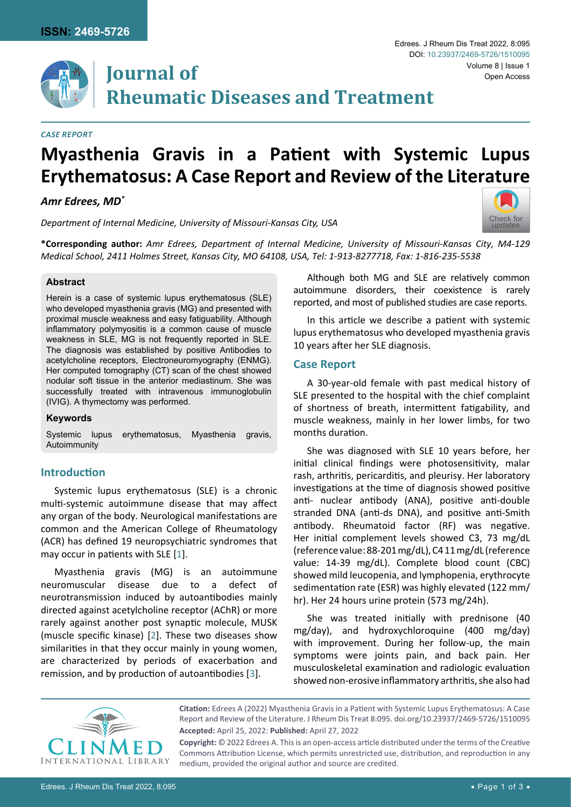

# **Journal of Rheumatic Diseases and Treatment**

#### *Case Report*

# **Myasthenia Gravis in a Patient with Systemic Lupus Erythematosus: A Case Report and Review of the Literature**

# *Amr Edrees, MD\**

*Department of Internal Medicine, University of Missouri-Kansas City, USA*



**\*Corresponding author:** *Amr Edrees, Department of Internal Medicine, University of Missouri-Kansas City, M4-129 Medical School, 2411 Holmes Street, Kansas City, MO 64108, USA, Tel: 1-913-8277718, Fax: 1-816-235-5538*

#### **Abstract**

Herein is a case of systemic lupus erythematosus (SLE) who developed myasthenia gravis (MG) and presented with proximal muscle weakness and easy fatiguability. Although inflammatory polymyositis is a common cause of muscle weakness in SLE, MG is not frequently reported in SLE. The diagnosis was established by positive Antibodies to acetylcholine receptors, Electroneuromyography (ENMG). Her computed tomography (CT) scan of the chest showed nodular soft tissue in the anterior mediastinum. She was successfully treated with intravenous immunoglobulin (IVIG). A thymectomy was performed.

#### **Keywords**

Systemic lupus erythematosus, Myasthenia gravis, Autoimmunity

### **Introduction**

Systemic lupus erythematosus (SLE) is a chronic multi-systemic autoimmune disease that may affect any organ of the body. Neurological manifestations are common and the American College of Rheumatology (ACR) has defined 19 neuropsychiatric syndromes that may occur in patients with SLE [\[1\]](#page-2-0).

Myasthenia gravis (MG) is an autoimmune neuromuscular disease due to a defect of neurotransmission induced by autoantibodies mainly directed against acetylcholine receptor (AChR) or more rarely against another post synaptic molecule, MUSK (muscle specific kinase) [[2](#page-2-1)]. These two diseases show similarities in that they occur mainly in young women, are characterized by periods of exacerbation and remission, and by production of autoantibodies [\[3\]](#page-2-2).

Although both MG and SLE are relatively common autoimmune disorders, their coexistence is rarely reported, and most of published studies are case reports.

In this article we describe a patient with systemic lupus erythematosus who developed myasthenia gravis 10 years after her SLE diagnosis.

#### **Case Report**

A 30-year-old female with past medical history of SLE presented to the hospital with the chief complaint of shortness of breath, intermittent fatigability, and muscle weakness, mainly in her lower limbs, for two months duration.

She was diagnosed with SLE 10 years before, her initial clinical findings were photosensitivity, malar rash, arthritis, pericarditis, and pleurisy. Her laboratory investigations at the time of diagnosis showed positive anti- nuclear antibody (ANA), positive anti-double stranded DNA (anti-ds DNA), and positive anti-Smith antibody. Rheumatoid factor (RF) was negative. Her initial complement levels showed C3, 73 mg/dL (reference value: 88-201 mg/dL), C4 11 mg/dL (reference value: 14-39 mg/dL). Complete blood count (CBC) showed mild leucopenia, and lymphopenia, erythrocyte sedimentation rate (ESR) was highly elevated (122 mm/ hr). Her 24 hours urine protein (573 mg/24h).

She was treated initially with prednisone (40 mg/day), and hydroxychloroquine (400 mg/day) with improvement. During her follow-up, the main symptoms were joints pain, and back pain. Her musculoskeletal examination and radiologic evaluation showed non-erosive inflammatory arthritis, she also had



**Citation:** Edrees A (2022) Myasthenia Gravis in a Patient with Systemic Lupus Erythematosus: A Case Report and Review of the Literature. J Rheum Dis Treat 8:095. [doi.org/10.23937/2469-5726/1510095](https://doi.org/10.23937/2469-5726/1510095) **Accepted:** April 25, 2022: **Published:** April 27, 2022

**Copyright:** © 2022 Edrees A. This is an open-access article distributed under the terms of the Creative Commons Attribution License, which permits unrestricted use, distribution, and reproduction in any medium, provided the original author and source are credited.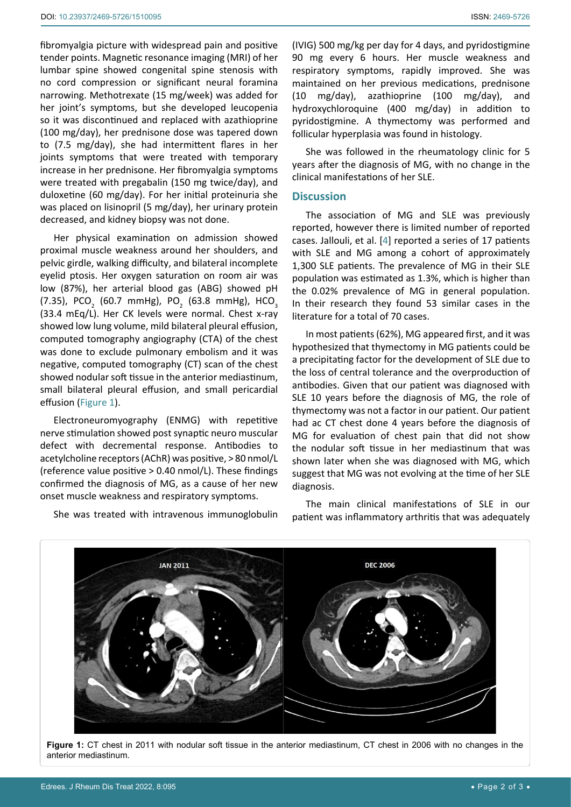fibromyalgia picture with widespread pain and positive tender points. Magnetic resonance imaging (MRI) of her lumbar spine showed congenital spine stenosis with no cord compression or significant neural foramina narrowing. Methotrexate (15 mg/week) was added for her joint's symptoms, but she developed leucopenia so it was discontinued and replaced with azathioprine (100 mg/day), her prednisone dose was tapered down to (7.5 mg/day), she had intermittent flares in her joints symptoms that were treated with temporary increase in her prednisone. Her fibromyalgia symptoms were treated with pregabalin (150 mg twice/day), and duloxetine (60 mg/day). For her initial proteinuria she was placed on lisinopril (5 mg/day), her urinary protein decreased, and kidney biopsy was not done.

Her physical examination on admission showed proximal muscle weakness around her shoulders, and pelvic girdle, walking difficulty, and bilateral incomplete eyelid ptosis. Her oxygen saturation on room air was low (87%), her arterial blood gas (ABG) showed pH (7.35), PCO $_{_{2}}$  (60.7 mmHg), PO $_{_{2}}$  (63.8 mmHg), HCO $_{_{3}}$ (33.4 mEq/L). Her CK levels were normal. Chest x-ray showed low lung volume, mild bilateral pleural effusion, computed tomography angiography (CTA) of the chest was done to exclude pulmonary embolism and it was negative, computed tomography (CT) scan of the chest showed nodular soft tissue in the anterior mediastinum, small bilateral pleural effusion, and small pericardial effusion ([Figure 1\)](#page-1-0).

Electroneuromyography (ENMG) with repetitive nerve stimulation showed post synaptic neuro muscular defect with decremental response. Antibodies to acetylcholine receptors (AChR) was positive, > 80 nmol/L (reference value positive > 0.40 nmol/L). These findings confirmed the diagnosis of MG, as a cause of her new onset muscle weakness and respiratory symptoms.

She was treated with intravenous immunoglobulin

(IVIG) 500 mg/kg per day for 4 days, and pyridostigmine 90 mg every 6 hours. Her muscle weakness and respiratory symptoms, rapidly improved. She was maintained on her previous medications, prednisone (10 mg/day), azathioprine (100 mg/day), and hydroxychloroquine (400 mg/day) in addition to pyridostigmine. A thymectomy was performed and follicular hyperplasia was found in histology.

She was followed in the rheumatology clinic for 5 years after the diagnosis of MG, with no change in the clinical manifestations of her SLE.

### **Discussion**

The association of MG and SLE was previously reported, however there is limited number of reported cases. Jallouli, et al. [\[4\]](#page-2-3) reported a series of 17 patients with SLE and MG among a cohort of approximately 1,300 SLE patients. The prevalence of MG in their SLE population was estimated as 1.3%, which is higher than the 0.02% prevalence of MG in general population. In their research they found 53 similar cases in the literature for a total of 70 cases.

In most patients (62%), MG appeared first, and it was hypothesized that thymectomy in MG patients could be a precipitating factor for the development of SLE due to the loss of central tolerance and the overproduction of antibodies. Given that our patient was diagnosed with SLE 10 years before the diagnosis of MG, the role of thymectomy was not a factor in our patient. Our patient had ac CT chest done 4 years before the diagnosis of MG for evaluation of chest pain that did not show the nodular soft tissue in her mediastinum that was shown later when she was diagnosed with MG, which suggest that MG was not evolving at the time of her SLE diagnosis.

The main clinical manifestations of SLE in our patient was inflammatory arthritis that was adequately

<span id="page-1-0"></span>

**Figure 1:** CT chest in 2011 with nodular soft tissue in the anterior mediastinum, CT chest in 2006 with no changes in the anterior mediastinum.